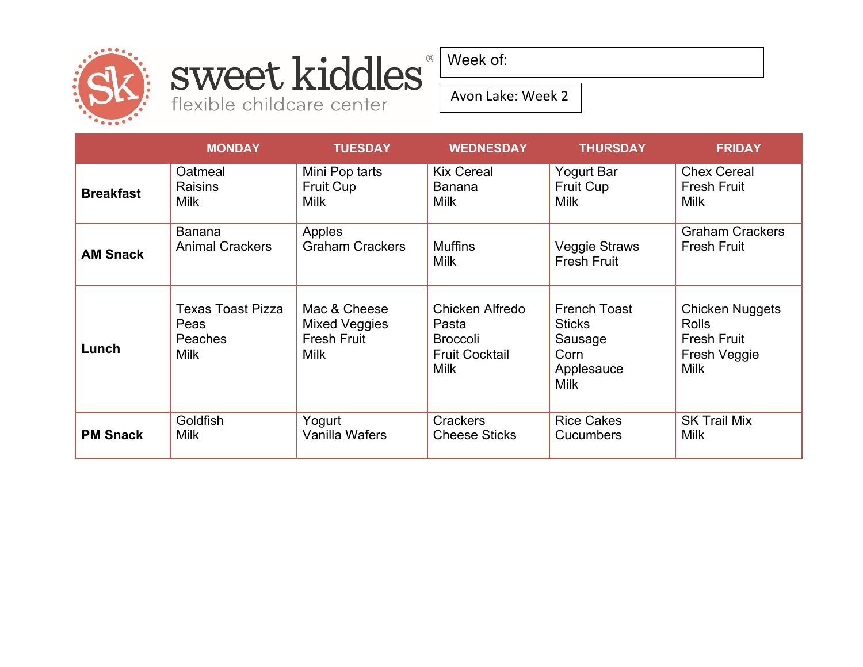

# Sweet kiddles

Week of:

Avon Lake: Week 2

|                  | <b>MONDAY</b>                                              | <b>TUESDAY</b>                                                     | <b>WEDNESDAY</b>                                                                    | <b>THURSDAY</b>                                                                      | <b>FRIDAY</b>                                                                               |
|------------------|------------------------------------------------------------|--------------------------------------------------------------------|-------------------------------------------------------------------------------------|--------------------------------------------------------------------------------------|---------------------------------------------------------------------------------------------|
| <b>Breakfast</b> | Oatmeal                                                    | Mini Pop tarts                                                     | <b>Kix Cereal</b>                                                                   | <b>Yogurt Bar</b>                                                                    | <b>Chex Cereal</b>                                                                          |
|                  | <b>Raisins</b>                                             | <b>Fruit Cup</b>                                                   | <b>Banana</b>                                                                       | <b>Fruit Cup</b>                                                                     | <b>Fresh Fruit</b>                                                                          |
|                  | <b>Milk</b>                                                | <b>Milk</b>                                                        | <b>Milk</b>                                                                         | <b>Milk</b>                                                                          | <b>Milk</b>                                                                                 |
| <b>AM Snack</b>  | <b>Banana</b>                                              | Apples                                                             | <b>Muffins</b>                                                                      | Veggie Straws                                                                        | <b>Graham Crackers</b>                                                                      |
|                  | <b>Animal Crackers</b>                                     | <b>Graham Crackers</b>                                             | <b>Milk</b>                                                                         | <b>Fresh Fruit</b>                                                                   | <b>Fresh Fruit</b>                                                                          |
| Lunch            | Texas Toast Pizza<br>Peas<br><b>Peaches</b><br><b>Milk</b> | Mac & Cheese<br>Mixed Veggies<br><b>Fresh Fruit</b><br><b>Milk</b> | Chicken Alfredo<br>Pasta<br><b>Broccoli</b><br><b>Fruit Cocktail</b><br><b>Milk</b> | <b>French Toast</b><br><b>Sticks</b><br>Sausage<br>Corn<br>Applesauce<br><b>Milk</b> | <b>Chicken Nuggets</b><br><b>Rolls</b><br><b>Fresh Fruit</b><br>Fresh Veggie<br><b>Milk</b> |
| <b>PM Snack</b>  | Goldfish                                                   | Yogurt                                                             | <b>Crackers</b>                                                                     | <b>Rice Cakes</b>                                                                    | <b>SK Trail Mix</b>                                                                         |
|                  | <b>Milk</b>                                                | Vanilla Wafers                                                     | <b>Cheese Sticks</b>                                                                | Cucumbers                                                                            | <b>Milk</b>                                                                                 |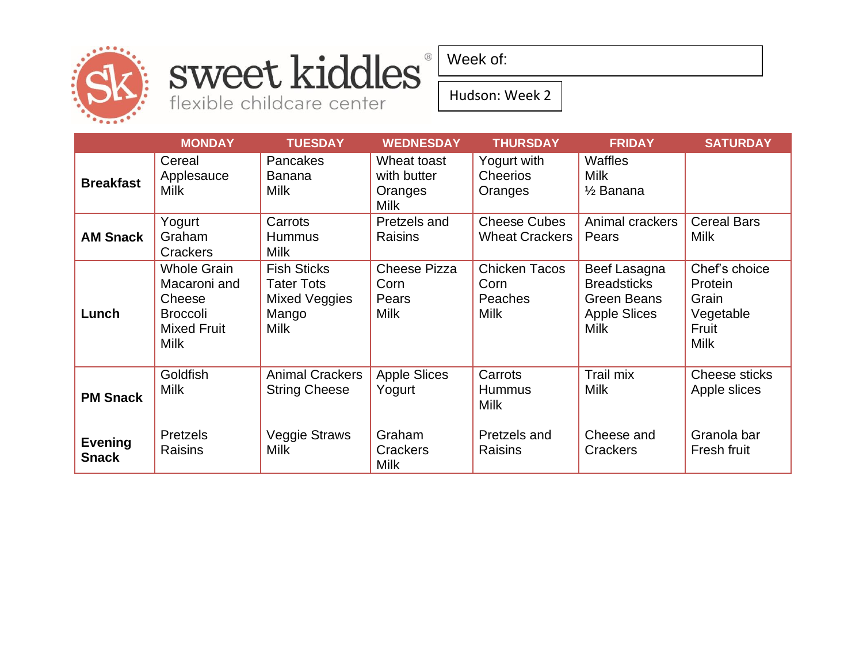

### sweet kiddles® flexible childcare center

Week of:

Hudson: Week 2

|                                | <b>MONDAY</b>                                                                                        | <b>TUESDAY</b>                                                                   | <b>WEDNESDAY</b>                                     | <b>THURSDAY</b>                                        | <b>FRIDAY</b>                                                                                  | <b>SATURDAY</b>                                                        |
|--------------------------------|------------------------------------------------------------------------------------------------------|----------------------------------------------------------------------------------|------------------------------------------------------|--------------------------------------------------------|------------------------------------------------------------------------------------------------|------------------------------------------------------------------------|
| <b>Breakfast</b>               | Cereal<br>Applesauce<br><b>Milk</b>                                                                  | <b>Pancakes</b><br>Banana<br><b>Milk</b>                                         | Wheat toast<br>with butter<br>Oranges<br><b>Milk</b> | Yogurt with<br><b>Cheerios</b><br>Oranges              | <b>Waffles</b><br><b>Milk</b><br>$\frac{1}{2}$ Banana                                          |                                                                        |
| <b>AM Snack</b>                | Yogurt<br>Graham<br>Crackers                                                                         | Carrots<br><b>Hummus</b><br><b>Milk</b>                                          | Pretzels and<br>Raisins                              | <b>Cheese Cubes</b><br><b>Wheat Crackers</b>           | Animal crackers<br>Pears                                                                       | <b>Cereal Bars</b><br><b>Milk</b>                                      |
| Lunch                          | <b>Whole Grain</b><br>Macaroni and<br>Cheese<br><b>Broccoli</b><br><b>Mixed Fruit</b><br><b>Milk</b> | <b>Fish Sticks</b><br><b>Tater Tots</b><br>Mixed Veggies<br>Mango<br><b>Milk</b> | <b>Cheese Pizza</b><br>Corn<br>Pears<br><b>Milk</b>  | <b>Chicken Tacos</b><br>Corn<br>Peaches<br><b>Milk</b> | Beef Lasagna<br><b>Breadsticks</b><br><b>Green Beans</b><br><b>Apple Slices</b><br><b>Milk</b> | Chef's choice<br>Protein<br>Grain<br>Vegetable<br>Fruit<br><b>Milk</b> |
| <b>PM Snack</b>                | Goldfish<br><b>Milk</b>                                                                              | <b>Animal Crackers</b><br><b>String Cheese</b>                                   | <b>Apple Slices</b><br>Yogurt                        | Carrots<br><b>Hummus</b><br><b>Milk</b>                | Trail mix<br><b>Milk</b>                                                                       | Cheese sticks<br>Apple slices                                          |
| <b>Evening</b><br><b>Snack</b> | <b>Pretzels</b><br>Raisins                                                                           | <b>Veggie Straws</b><br><b>Milk</b>                                              | Graham<br>Crackers<br><b>Milk</b>                    | Pretzels and<br>Raisins                                | Cheese and<br>Crackers                                                                         | Granola bar<br>Fresh fruit                                             |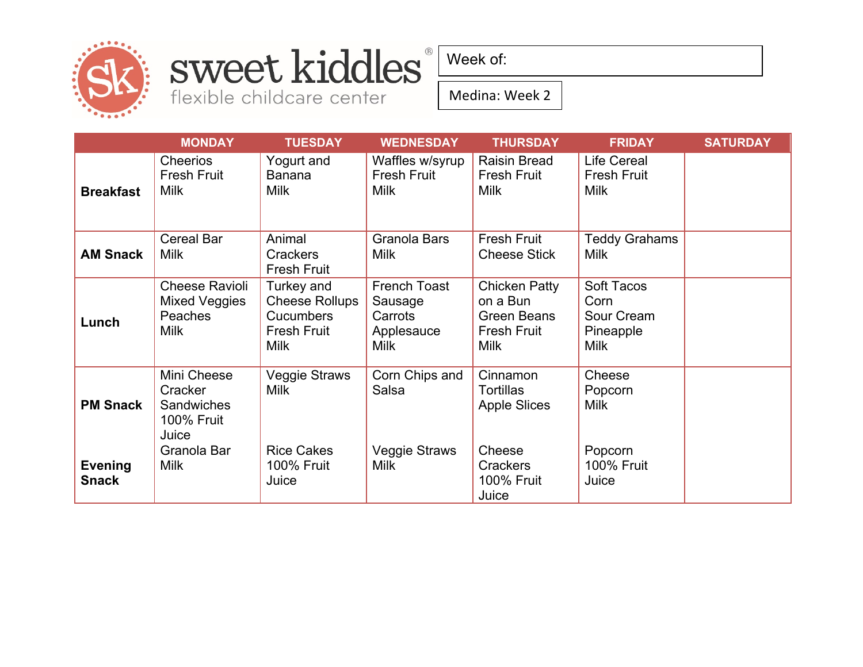

## sweet kiddles®

flexible childcare center

Week of:

Medina: Week 2

|                                | <b>MONDAY</b>                                                             | <b>TUESDAY</b>                                                                               | <b>WEDNESDAY</b>                                                | <b>THURSDAY</b>                                                                             | <b>FRIDAY</b>                                                | <b>SATURDAY</b> |
|--------------------------------|---------------------------------------------------------------------------|----------------------------------------------------------------------------------------------|-----------------------------------------------------------------|---------------------------------------------------------------------------------------------|--------------------------------------------------------------|-----------------|
| <b>Breakfast</b>               | Cheerios<br><b>Fresh Fruit</b><br><b>Milk</b>                             | Yogurt and<br><b>Banana</b><br><b>Milk</b>                                                   | Waffles w/syrup<br><b>Fresh Fruit</b><br><b>Milk</b>            | <b>Raisin Bread</b><br><b>Fresh Fruit</b><br><b>Milk</b>                                    | <b>Life Cereal</b><br><b>Fresh Fruit</b><br>Milk             |                 |
| <b>AM Snack</b>                | <b>Cereal Bar</b><br><b>Milk</b>                                          | Animal<br><b>Crackers</b><br><b>Fresh Fruit</b>                                              | Granola Bars<br><b>Milk</b>                                     | <b>Fresh Fruit</b><br><b>Cheese Stick</b>                                                   | <b>Teddy Grahams</b><br>Milk                                 |                 |
| Lunch                          | <b>Cheese Ravioli</b><br>Mixed Veggies<br>Peaches<br><b>Milk</b>          | Turkey and<br><b>Cheese Rollups</b><br><b>Cucumbers</b><br><b>Fresh Fruit</b><br><b>Milk</b> | French Toast<br>Sausage<br>Carrots<br>Applesauce<br><b>Milk</b> | <b>Chicken Patty</b><br>on a Bun<br><b>Green Beans</b><br><b>Fresh Fruit</b><br><b>Milk</b> | Soft Tacos<br>Corn<br>Sour Cream<br>Pineapple<br><b>Milk</b> |                 |
| <b>PM Snack</b>                | Mini Cheese<br>Cracker<br><b>Sandwiches</b><br><b>100% Fruit</b><br>Juice | Veggie Straws<br><b>Milk</b>                                                                 | Corn Chips and<br>Salsa                                         | Cinnamon<br><b>Tortillas</b><br><b>Apple Slices</b>                                         | Cheese<br>Popcorn<br>Milk                                    |                 |
| <b>Evening</b><br><b>Snack</b> | Granola Bar<br><b>Milk</b>                                                | <b>Rice Cakes</b><br><b>100% Fruit</b><br>Juice                                              | <b>Veggie Straws</b><br><b>Milk</b>                             | Cheese<br>Crackers<br><b>100% Fruit</b><br>Juice                                            | Popcorn<br><b>100% Fruit</b><br>Juice                        |                 |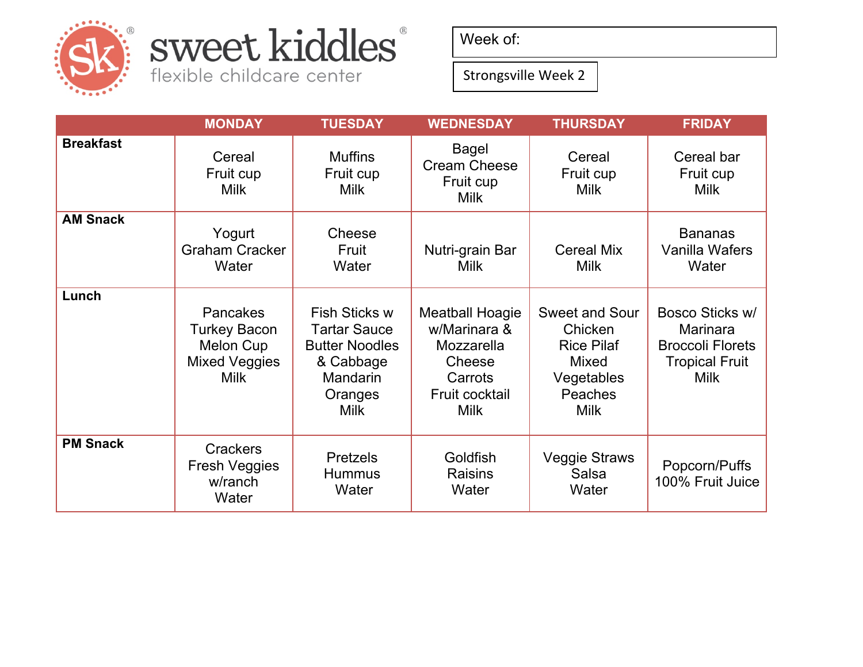

## sweet kiddles®

flexible childcare center

Week of:

Strongsville Week 2

|                  | <b>MONDAY</b>                                                                              | <b>TUESDAY</b>                                                                                                          | <b>WEDNESDAY</b>                                                                                           | <b>THURSDAY</b>                                                                                               | <b>FRIDAY</b>                                                                                  |
|------------------|--------------------------------------------------------------------------------------------|-------------------------------------------------------------------------------------------------------------------------|------------------------------------------------------------------------------------------------------------|---------------------------------------------------------------------------------------------------------------|------------------------------------------------------------------------------------------------|
| <b>Breakfast</b> | Cereal<br>Fruit cup<br><b>Milk</b>                                                         | <b>Muffins</b><br>Fruit cup<br><b>Milk</b>                                                                              | Bagel<br><b>Cream Cheese</b><br>Fruit cup<br><b>Milk</b>                                                   | Cereal<br>Fruit cup<br><b>Milk</b>                                                                            | Cereal bar<br>Fruit cup<br><b>Milk</b>                                                         |
| <b>AM Snack</b>  | Yogurt<br><b>Graham Cracker</b><br>Water                                                   | Cheese<br>Fruit<br>Water                                                                                                | Nutri-grain Bar<br><b>Milk</b>                                                                             | <b>Cereal Mix</b><br><b>Milk</b>                                                                              | <b>Bananas</b><br>Vanilla Wafers<br>Water                                                      |
| Lunch            | Pancakes<br><b>Turkey Bacon</b><br><b>Melon Cup</b><br><b>Mixed Veggies</b><br><b>Milk</b> | <b>Fish Sticks w</b><br><b>Tartar Sauce</b><br><b>Butter Noodles</b><br>& Cabbage<br>Mandarin<br>Oranges<br><b>Milk</b> | <b>Meatball Hoagie</b><br>w/Marinara &<br>Mozzarella<br>Cheese<br>Carrots<br>Fruit cocktail<br><b>Milk</b> | <b>Sweet and Sour</b><br>Chicken<br><b>Rice Pilaf</b><br><b>Mixed</b><br>Vegetables<br>Peaches<br><b>Milk</b> | Bosco Sticks w/<br>Marinara<br><b>Broccoli Florets</b><br><b>Tropical Fruit</b><br><b>Milk</b> |
| <b>PM Snack</b>  | <b>Crackers</b><br><b>Fresh Veggies</b><br>w/ranch<br>Water                                | <b>Pretzels</b><br><b>Hummus</b><br>Water                                                                               | Goldfish<br><b>Raisins</b><br>Water                                                                        | <b>Veggie Straws</b><br>Salsa<br>Water                                                                        | Popcorn/Puffs<br>100% Fruit Juice                                                              |